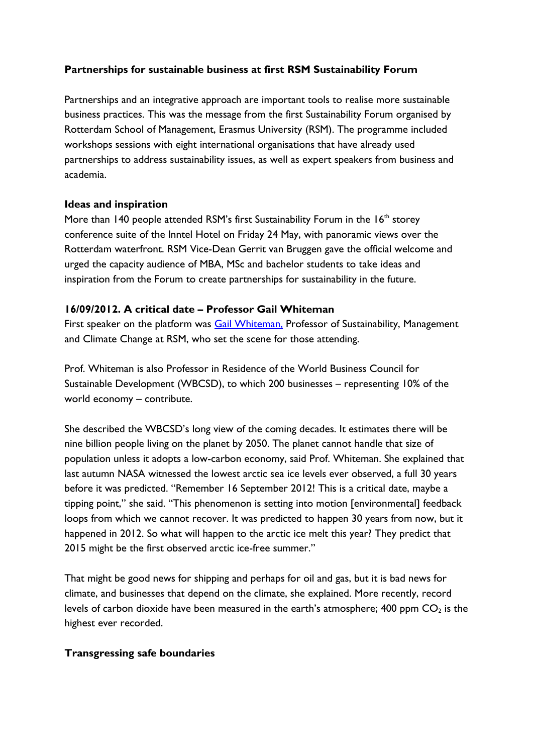# **Partnerships for sustainable business at first RSM Sustainability Forum**

Partnerships and an integrative approach are important tools to realise more sustainable business practices. This was the message from the first Sustainability Forum organised by Rotterdam School of Management, Erasmus University (RSM). The programme included workshops sessions with eight international organisations that have already used partnerships to address sustainability issues, as well as expert speakers from business and academia.

#### **Ideas and inspiration**

More than 140 people attended RSM's first Sustainability Forum in the  $16<sup>th</sup>$  storey conference suite of the Inntel Hotel on Friday 24 May, with panoramic views over the Rotterdam waterfront. RSM Vice-Dean Gerrit van Bruggen gave the official welcome and urged the capacity audience of MBA, MSc and bachelor students to take ideas and inspiration from the Forum to create partnerships for sustainability in the future.

## **16/09/2012. A critical date – Professor Gail Whiteman**

First speaker on the platform was **Gail Whiteman**, Professor of Sustainability, Management and Climate Change at RSM, who set the scene for those attending.

Prof. Whiteman is also Professor in Residence of the World Business Council for Sustainable Development (WBCSD), to which 200 businesses – representing 10% of the world economy – contribute.

She described the WBCSD's long view of the coming decades. It estimates there will be nine billion people living on the planet by 2050. The planet cannot handle that size of population unless it adopts a low-carbon economy, said Prof. Whiteman. She explained that last autumn NASA witnessed the lowest arctic sea ice levels ever observed, a full 30 years before it was predicted. "Remember 16 September 2012! This is a critical date, maybe a tipping point," she said. "This phenomenon is setting into motion [environmental] feedback loops from which we cannot recover. It was predicted to happen 30 years from now, but it happened in 2012. So what will happen to the arctic ice melt this year? They predict that 2015 might be the first observed arctic ice-free summer."

That might be good news for shipping and perhaps for oil and gas, but it is bad news for climate, and businesses that depend on the climate, she explained. More recently, record levels of carbon dioxide have been measured in the earth's atmosphere; 400 ppm  $CO<sub>2</sub>$  is the highest ever recorded.

## **Transgressing safe boundaries**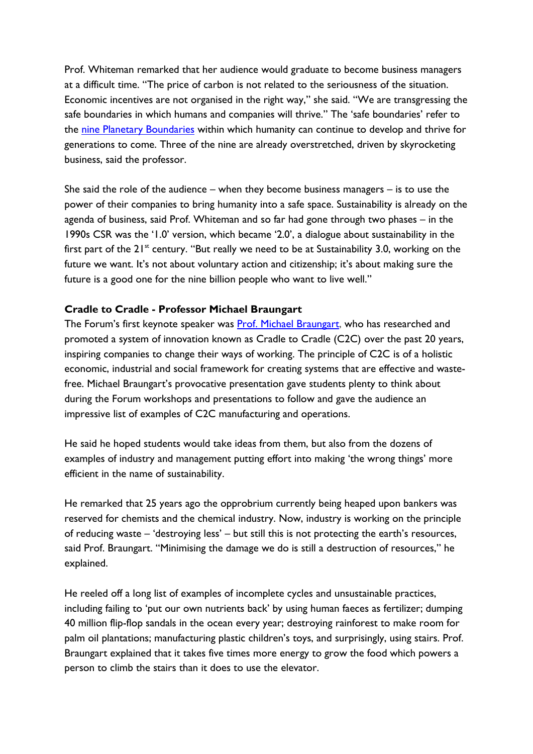Prof. Whiteman remarked that her audience would graduate to become business managers at a difficult time. "The price of carbon is not related to the seriousness of the situation. Economic incentives are not organised in the right way," she said. "We are transgressing the safe boundaries in which humans and companies will thrive." The 'safe boundaries' refer to the nine Planetary [Boundaries](http://www.stockholmresilience.org/research/researchnews/tippingtowardstheunknown/thenineplanetaryboundaries.4.1fe8f33123572b59ab80007039.html) within which humanity can continue to develop and thrive for generations to come. Three of the nine are already overstretched, driven by skyrocketing business, said the professor.

She said the role of the audience – when they become business managers – is to use the power of their companies to bring humanity into a safe space. Sustainability is already on the agenda of business, said Prof. Whiteman and so far had gone through two phases – in the 1990s CSR was the '1.0' version, which became '2.0', a dialogue about sustainability in the first part of the  $21^{st}$  century. "But really we need to be at Sustainability 3.0, working on the future we want. It's not about voluntary action and citizenship; it's about making sure the future is a good one for the nine billion people who want to live well."

## **Cradle to Cradle - Professor Michael Braungart**

The Forum's first keynote speaker was **Prof. Michael Braungart**, who has researched and promoted a system of innovation known as Cradle to Cradle (C2C) over the past 20 years, inspiring companies to change their ways of working. The principle of C2C is of a holistic economic, industrial and social framework for creating systems that are effective and wastefree. Michael Braungart's provocative presentation gave students plenty to think about during the Forum workshops and presentations to follow and gave the audience an impressive list of examples of C2C manufacturing and operations.

He said he hoped students would take ideas from them, but also from the dozens of examples of industry and management putting effort into making 'the wrong things' more efficient in the name of sustainability.

He remarked that 25 years ago the opprobrium currently being heaped upon bankers was reserved for chemists and the chemical industry. Now, industry is working on the principle of reducing waste – 'destroying less' – but still this is not protecting the earth's resources, said Prof. Braungart. "Minimising the damage we do is still a destruction of resources," he explained.

He reeled off a long list of examples of incomplete cycles and unsustainable practices, including failing to 'put our own nutrients back' by using human faeces as fertilizer; dumping 40 million flip-flop sandals in the ocean every year; destroying rainforest to make room for palm oil plantations; manufacturing plastic children's toys, and surprisingly, using stairs. Prof. Braungart explained that it takes five times more energy to grow the food which powers a person to climb the stairs than it does to use the elevator.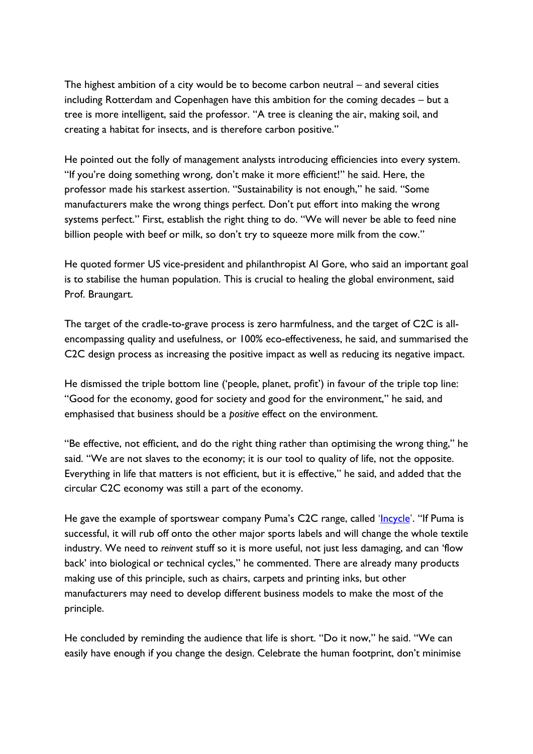The highest ambition of a city would be to become carbon neutral – and several cities including Rotterdam and Copenhagen have this ambition for the coming decades – but a tree is more intelligent, said the professor. "A tree is cleaning the air, making soil, and creating a habitat for insects, and is therefore carbon positive."

He pointed out the folly of management analysts introducing efficiencies into every system. "If you're doing something wrong, don't make it more efficient!" he said. Here, the professor made his starkest assertion. "Sustainability is not enough," he said. "Some manufacturers make the wrong things perfect. Don't put effort into making the wrong systems perfect." First, establish the right thing to do. "We will never be able to feed nine billion people with beef or milk, so don't try to squeeze more milk from the cow."

He quoted former US vice-president and philanthropist Al Gore, who said an important goal is to stabilise the human population. This is crucial to healing the global environment, said Prof. Braungart.

The target of the cradle-to-grave process is zero harmfulness, and the target of C2C is allencompassing quality and usefulness, or 100% eco-effectiveness, he said, and summarised the C2C design process as increasing the positive impact as well as reducing its negative impact.

He dismissed the triple bottom line ('people, planet, profit') in favour of the triple top line: "Good for the economy, good for society and good for the environment," he said, and emphasised that business should be a *positive* effect on the environment.

"Be effective, not efficient, and do the right thing rather than optimising the wrong thing," he said. "We are not slaves to the economy; it is our tool to quality of life, not the opposite. Everything in life that matters is not efficient, but it is effective," he said, and added that the circular C2C economy was still a part of the economy.

He gave the example of sportswear company Puma's C2C range, called '*[Incycle](http://about.puma.com/puma-introduces-biodegradable-and-recyclable-products/)*'. "If Puma is successful, it will rub off onto the other major sports labels and will change the whole textile industry. We need to *reinvent* stuff so it is more useful, not just less damaging, and can 'flow back' into biological or technical cycles," he commented. There are already many products making use of this principle, such as chairs, carpets and printing inks, but other manufacturers may need to develop different business models to make the most of the principle.

He concluded by reminding the audience that life is short. "Do it now," he said. "We can easily have enough if you change the design. Celebrate the human footprint, don't minimise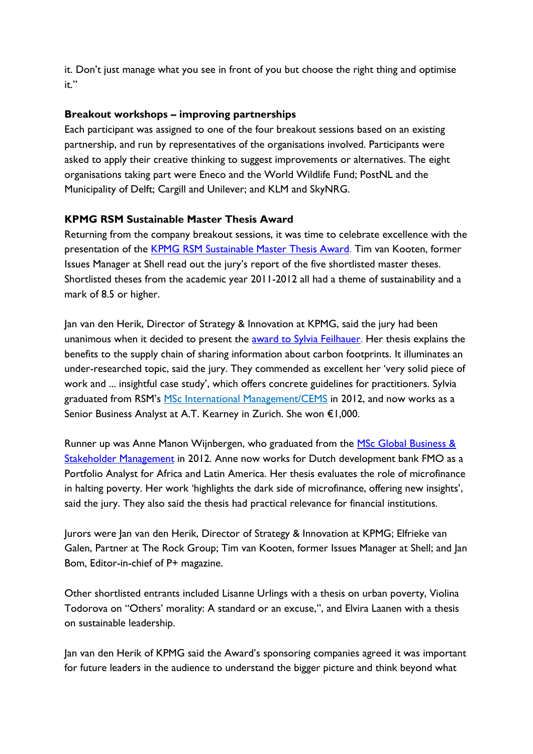it. Don't just manage what you see in front of you but choose the right thing and optimise it."

## **Breakout workshops – improving partnerships**

Each participant was assigned to one of the four breakout sessions based on an existing partnership, and run by representatives of the organisations involved. Participants were asked to apply their creative thinking to suggest improvements or alternatives. The eight organisations taking part were Eneco and the World Wildlife Fund; PostNL and the Municipality of Delft; Cargill and Unilever; and KLM and SkyNRG.

## **KPMG RSM Sustainable Master Thesis Award**

Returning from the company breakout sessions, it was time to celebrate excellence with the presentation of the [KPMG RSM Sustainable Master Thesis Award.](http://www.rsm.nl/about-rsm/news/detail/2943-jury-unanimously-chooses-under-researched-topic-as-sustainability-thesis-winner/) Tim van Kooten, former Issues Manager at Shell read out the jury's report of the five shortlisted master theses. Shortlisted theses from the academic year 2011-2012 all had a theme of sustainability and a mark of 8.5 or higher.

Jan van den Herik, Director of Strategy & Innovation at KPMG, said the jury had been unanimous when it decided to present the [award to Sylvia Feilhauer.](http://www.rsm.nl/about-rsm/news/detail/2943-jury-unanimously-chooses-under-researched-topic-as-sustainability-thesis-winner/) Her thesis explains the benefits to the supply chain of sharing information about carbon footprints. It illuminates an under-researched topic, said the jury. They commended as excellent her 'very solid piece of work and ... insightful case study', which offers concrete guidelines for practitioners. Sylvia graduated from RSM's MSc International [Management/CEMS](http://www.rsm.nl/master/msc-international-management-cems/) in 2012, and now works as a Senior Business Analyst at A.T. Kearney in Zurich. She won €1,000.

Runner up was Anne Manon Wijnbergen, who graduated from the MSc Global Business & [Stakeholder Management](http://www.rsm.nl/master/msc-global-business-stakeholder-management/) in 2012. Anne now works for Dutch development bank FMO as a Portfolio Analyst for Africa and Latin America. Her thesis evaluates the role of microfinance in halting poverty. Her work 'highlights the dark side of microfinance, offering new insights', said the jury. They also said the thesis had practical relevance for financial institutions.

Jurors were Jan van den Herik, Director of Strategy & Innovation at KPMG; Elfrieke van Galen, Partner at The Rock Group; Tim van Kooten, former Issues Manager at Shell; and Jan Bom, Editor-in-chief of P+ magazine.

Other shortlisted entrants included Lisanne Urlings with a thesis on urban poverty, Violina Todorova on "Others' morality: A standard or an excuse,", and Elvira Laanen with a thesis on sustainable leadership.

Jan van den Herik of KPMG said the Award's sponsoring companies agreed it was important for future leaders in the audience to understand the bigger picture and think beyond what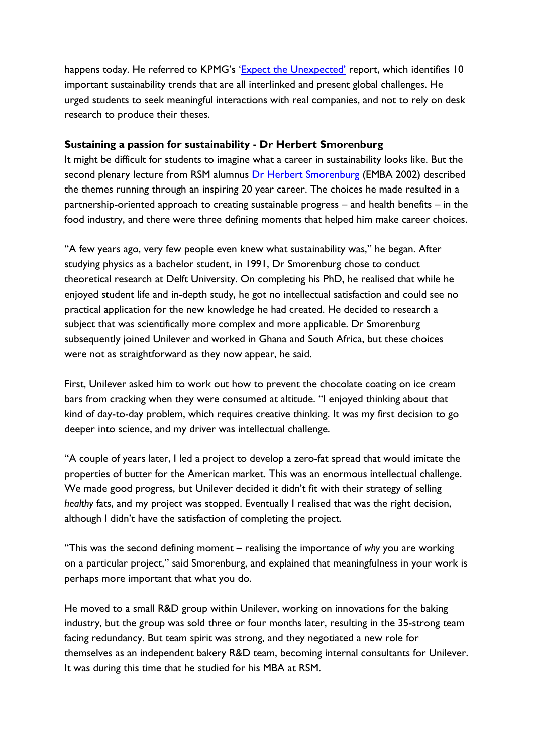happens today. He referred to KPMG's ['Expect the Unexpected'](http://www.kpmg.com/dutchcaribbean/en/Documents/KPMG%20Expect_the_Unexpected_ExctveSmmry_FINAL_WebAccessible.pdf) report, which identifies 10 important sustainability trends that are all interlinked and present global challenges. He urged students to seek meaningful interactions with real companies, and not to rely on desk research to produce their theses.

#### **Sustaining a passion for sustainability - Dr Herbert Smorenburg**

It might be difficult for students to imagine what a career in sustainability looks like. But the second plenary lecture from RSM alumnus Dr Herbert [Smorenburg](http://www.schuttelaar-partners.com/our_people/241) (EMBA 2002) described the themes running through an inspiring 20 year career. The choices he made resulted in a partnership-oriented approach to creating sustainable progress – and health benefits – in the food industry, and there were three defining moments that helped him make career choices.

"A few years ago, very few people even knew what sustainability was," he began. After studying physics as a bachelor student, in 1991, Dr Smorenburg chose to conduct theoretical research at Delft University. On completing his PhD, he realised that while he enjoyed student life and in-depth study, he got no intellectual satisfaction and could see no practical application for the new knowledge he had created. He decided to research a subject that was scientifically more complex and more applicable. Dr Smorenburg subsequently joined Unilever and worked in Ghana and South Africa, but these choices were not as straightforward as they now appear, he said.

First, Unilever asked him to work out how to prevent the chocolate coating on ice cream bars from cracking when they were consumed at altitude. "I enjoyed thinking about that kind of day-to-day problem, which requires creative thinking. It was my first decision to go deeper into science, and my driver was intellectual challenge.

"A couple of years later, I led a project to develop a zero-fat spread that would imitate the properties of butter for the American market. This was an enormous intellectual challenge. We made good progress, but Unilever decided it didn't fit with their strategy of selling *healthy* fats, and my project was stopped. Eventually I realised that was the right decision, although I didn't have the satisfaction of completing the project.

"This was the second defining moment – realising the importance of *why* you are working on a particular project," said Smorenburg, and explained that meaningfulness in your work is perhaps more important that what you do.

He moved to a small R&D group within Unilever, working on innovations for the baking industry, but the group was sold three or four months later, resulting in the 35-strong team facing redundancy. But team spirit was strong, and they negotiated a new role for themselves as an independent bakery R&D team, becoming internal consultants for Unilever. It was during this time that he studied for his MBA at RSM.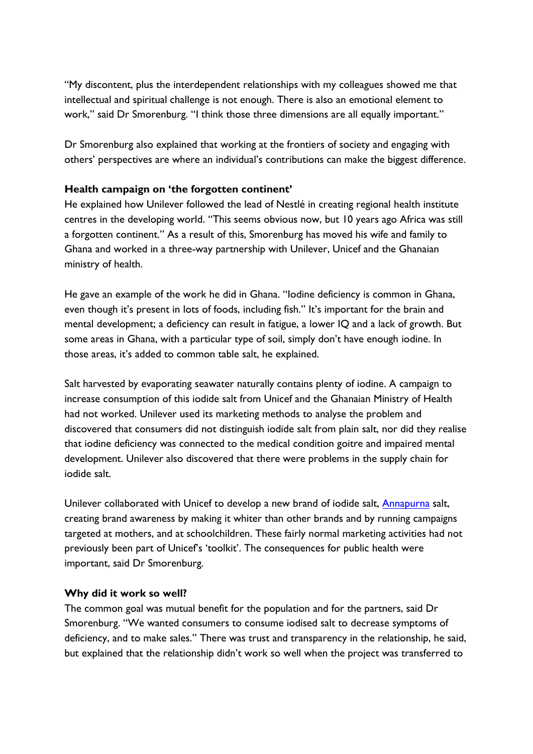"My discontent, plus the interdependent relationships with my colleagues showed me that intellectual and spiritual challenge is not enough. There is also an emotional element to work," said Dr Smorenburg. "I think those three dimensions are all equally important."

Dr Smorenburg also explained that working at the frontiers of society and engaging with others' perspectives are where an individual's contributions can make the biggest difference.

## **Health campaign on 'the forgotten continent'**

He explained how Unilever followed the lead of Nestlé in creating regional health institute centres in the developing world. "This seems obvious now, but 10 years ago Africa was still a forgotten continent." As a result of this, Smorenburg has moved his wife and family to Ghana and worked in a three-way partnership with Unilever, Unicef and the Ghanaian ministry of health.

He gave an example of the work he did in Ghana. "Iodine deficiency is common in Ghana, even though it's present in lots of foods, including fish." It's important for the brain and mental development; a deficiency can result in fatigue, a lower IQ and a lack of growth. But some areas in Ghana, with a particular type of soil, simply don't have enough iodine. In those areas, it's added to common table salt, he explained.

Salt harvested by evaporating seawater naturally contains plenty of iodine. A campaign to increase consumption of this iodide salt from Unicef and the Ghanaian Ministry of Health had not worked. Unilever used its marketing methods to analyse the problem and discovered that consumers did not distinguish iodide salt from plain salt, nor did they realise that iodine deficiency was connected to the medical condition goitre and impaired mental development. Unilever also discovered that there were problems in the supply chain for iodide salt.

Unilever collaborated with Unicef to develop a new brand of iodide salt, **Annapurna** salt, creating brand awareness by making it whiter than other brands and by running campaigns targeted at mothers, and at schoolchildren. These fairly normal marketing activities had not previously been part of Unicef's 'toolkit'. The consequences for public health were important, said Dr Smorenburg.

#### **Why did it work so well?**

The common goal was mutual benefit for the population and for the partners, said Dr Smorenburg. "We wanted consumers to consume iodised salt to decrease symptoms of deficiency, and to make sales." There was trust and transparency in the relationship, he said, but explained that the relationship didn't work so well when the project was transferred to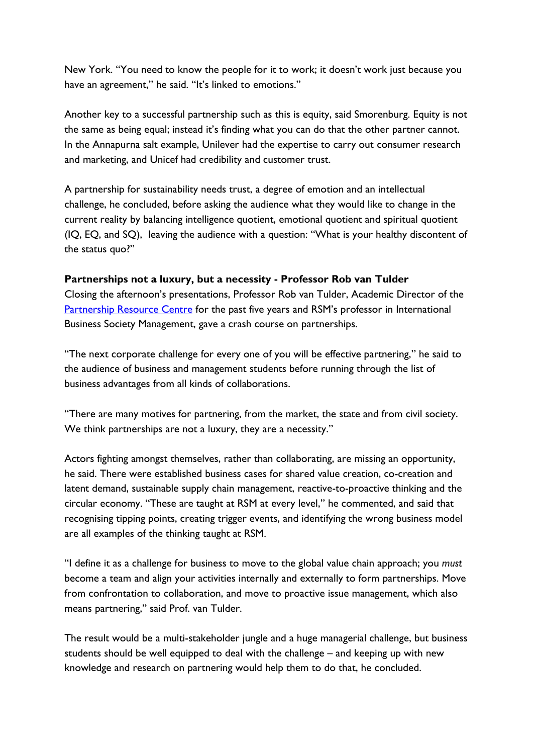New York. "You need to know the people for it to work; it doesn't work just because you have an agreement," he said. "It's linked to emotions."

Another key to a successful partnership such as this is equity, said Smorenburg. Equity is not the same as being equal; instead it's finding what you can do that the other partner cannot. In the Annapurna salt example, Unilever had the expertise to carry out consumer research and marketing, and Unicef had credibility and customer trust.

A partnership for sustainability needs trust, a degree of emotion and an intellectual challenge, he concluded, before asking the audience what they would like to change in the current reality by balancing intelligence quotient, emotional quotient and spiritual quotient (IQ, EQ, and SQ), leaving the audience with a question: "What is your healthy discontent of the status quo?"

## **Partnerships not a luxury, but a necessity - Professor Rob van Tulder**

Closing the afternoon's presentations, Professor Rob van Tulder, Academic Director of the [Partnership Resource Centre](http://www.partnershipsresourcecentre.org/) for the past five years and RSM's professor in International Business Society Management, gave a crash course on partnerships.

"The next corporate challenge for every one of you will be effective partnering," he said to the audience of business and management students before running through the list of business advantages from all kinds of collaborations.

"There are many motives for partnering, from the market, the state and from civil society. We think partnerships are not a luxury, they are a necessity."

Actors fighting amongst themselves, rather than collaborating, are missing an opportunity, he said. There were established business cases for shared value creation, co-creation and latent demand, sustainable supply chain management, reactive-to-proactive thinking and the circular economy. "These are taught at RSM at every level," he commented, and said that recognising tipping points, creating trigger events, and identifying the wrong business model are all examples of the thinking taught at RSM.

"I define it as a challenge for business to move to the global value chain approach; you *must* become a team and align your activities internally and externally to form partnerships. Move from confrontation to collaboration, and move to proactive issue management, which also means partnering," said Prof. van Tulder.

The result would be a multi-stakeholder jungle and a huge managerial challenge, but business students should be well equipped to deal with the challenge – and keeping up with new knowledge and research on partnering would help them to do that, he concluded.